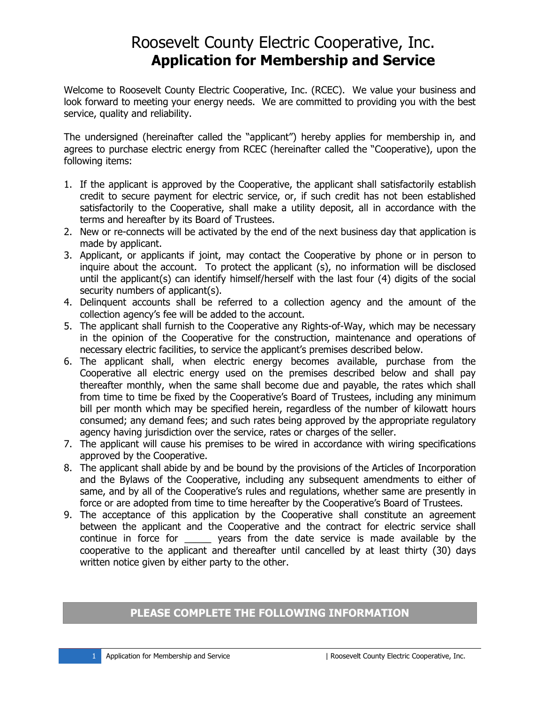## Roosevelt County Electric Cooperative, Inc. **Application for Membership and Service**

Welcome to Roosevelt County Electric Cooperative, Inc. (RCEC). We value your business and look forward to meeting your energy needs. We are committed to providing you with the best service, quality and reliability.

The undersigned (hereinafter called the "applicant") hereby applies for membership in, and agrees to purchase electric energy from RCEC (hereinafter called the "Cooperative), upon the following items:

- 1. If the applicant is approved by the Cooperative, the applicant shall satisfactorily establish credit to secure payment for electric service, or, if such credit has not been established satisfactorily to the Cooperative, shall make a utility deposit, all in accordance with the terms and hereafter by its Board of Trustees.
- 2. New or re-connects will be activated by the end of the next business day that application is made by applicant.
- 3. Applicant, or applicants if joint, may contact the Cooperative by phone or in person to inquire about the account. To protect the applicant (s), no information will be disclosed until the applicant(s) can identify himself/herself with the last four (4) digits of the social security numbers of applicant(s).
- 4. Delinquent accounts shall be referred to a collection agency and the amount of the collection agency's fee will be added to the account.
- 5. The applicant shall furnish to the Cooperative any Rights-of-Way, which may be necessary in the opinion of the Cooperative for the construction, maintenance and operations of necessary electric facilities, to service the applicant's premises described below.
- 6. The applicant shall, when electric energy becomes available, purchase from the Cooperative all electric energy used on the premises described below and shall pay thereafter monthly, when the same shall become due and payable, the rates which shall from time to time be fixed by the Cooperative's Board of Trustees, including any minimum bill per month which may be specified herein, regardless of the number of kilowatt hours consumed; any demand fees; and such rates being approved by the appropriate regulatory agency having jurisdiction over the service, rates or charges of the seller.
- 7. The applicant will cause his premises to be wired in accordance with wiring specifications approved by the Cooperative.
- 8. The applicant shall abide by and be bound by the provisions of the Articles of Incorporation and the Bylaws of the Cooperative, including any subsequent amendments to either of same, and by all of the Cooperative's rules and regulations, whether same are presently in force or are adopted from time to time hereafter by the Cooperative's Board of Trustees.
- 9. The acceptance of this application by the Cooperative shall constitute an agreement between the applicant and the Cooperative and the contract for electric service shall continue in force for express from the date service is made available by the cooperative to the applicant and thereafter until cancelled by at least thirty (30) days written notice given by either party to the other.

### **PLEASE COMPLETE THE FOLLOWING INFORMATION**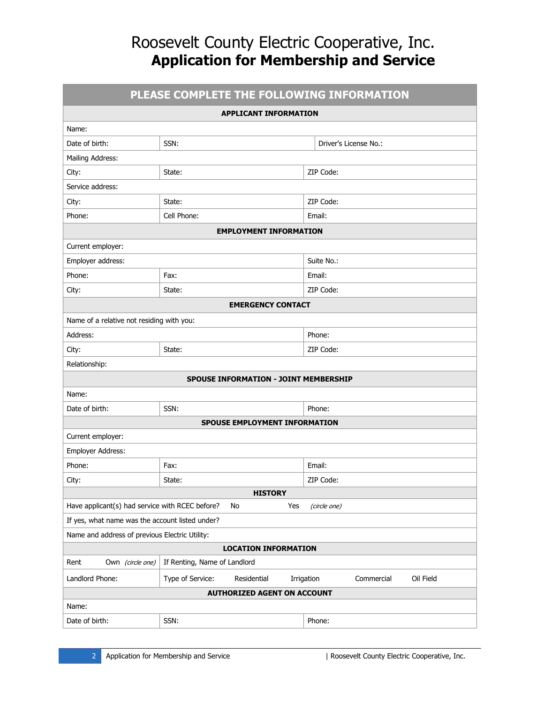# Roosevelt County Electric Cooperative, Inc. **Application for Membership and Service**

| PLEASE COMPLETE THE FOLLOWING INFORMATION       |                                              |                                       |  |  |  |  |  |  |  |
|-------------------------------------------------|----------------------------------------------|---------------------------------------|--|--|--|--|--|--|--|
|                                                 | <b>APPLICANT INFORMATION</b>                 |                                       |  |  |  |  |  |  |  |
| Name:                                           |                                              |                                       |  |  |  |  |  |  |  |
| Date of birth:                                  | SSN:                                         | Driver's License No.:                 |  |  |  |  |  |  |  |
| Mailing Address:                                |                                              |                                       |  |  |  |  |  |  |  |
| City:                                           | State:                                       | ZIP Code:                             |  |  |  |  |  |  |  |
| Service address:                                |                                              |                                       |  |  |  |  |  |  |  |
| City:                                           | State:                                       | ZIP Code:                             |  |  |  |  |  |  |  |
| Phone:                                          | Cell Phone:                                  | Email:                                |  |  |  |  |  |  |  |
|                                                 | <b>EMPLOYMENT INFORMATION</b>                |                                       |  |  |  |  |  |  |  |
| Current employer:                               |                                              |                                       |  |  |  |  |  |  |  |
| Employer address:                               |                                              | Suite No.:                            |  |  |  |  |  |  |  |
| Phone:                                          | Fax:                                         | Email:                                |  |  |  |  |  |  |  |
| City:                                           | State:                                       | ZIP Code:                             |  |  |  |  |  |  |  |
| <b>EMERGENCY CONTACT</b>                        |                                              |                                       |  |  |  |  |  |  |  |
| Name of a relative not residing with you:       |                                              |                                       |  |  |  |  |  |  |  |
| Address:                                        |                                              | Phone:                                |  |  |  |  |  |  |  |
| City:                                           | State:                                       | ZIP Code:                             |  |  |  |  |  |  |  |
| Relationship:                                   |                                              |                                       |  |  |  |  |  |  |  |
|                                                 | <b>SPOUSE INFORMATION - JOINT MEMBERSHIP</b> |                                       |  |  |  |  |  |  |  |
| Name:                                           |                                              |                                       |  |  |  |  |  |  |  |
| Date of birth:                                  | SSN:                                         | Phone:                                |  |  |  |  |  |  |  |
|                                                 | SPOUSE EMPLOYMENT INFORMATION                |                                       |  |  |  |  |  |  |  |
| Current employer:                               |                                              |                                       |  |  |  |  |  |  |  |
| Employer Address:                               |                                              |                                       |  |  |  |  |  |  |  |
| Phone:                                          | Fax:                                         | Email:                                |  |  |  |  |  |  |  |
| City:                                           | State:                                       | ZIP Code:                             |  |  |  |  |  |  |  |
|                                                 | <b>HISTORY</b>                               |                                       |  |  |  |  |  |  |  |
| Have applicant(s) had service with RCEC before? | Yes<br>No                                    | (circle one)                          |  |  |  |  |  |  |  |
| If yes, what name was the account listed under? |                                              |                                       |  |  |  |  |  |  |  |
| Name and address of previous Electric Utility:  |                                              |                                       |  |  |  |  |  |  |  |
| <b>LOCATION INFORMATION</b>                     |                                              |                                       |  |  |  |  |  |  |  |
| Rent<br>Own (circle one)                        | If Renting, Name of Landlord                 |                                       |  |  |  |  |  |  |  |
| Landlord Phone:                                 | Type of Service:<br>Residential              | Commercial<br>Oil Field<br>Irrigation |  |  |  |  |  |  |  |
| <b>AUTHORIZED AGENT ON ACCOUNT</b>              |                                              |                                       |  |  |  |  |  |  |  |
| Name:                                           |                                              |                                       |  |  |  |  |  |  |  |
| Date of birth:                                  | SSN:                                         | Phone:                                |  |  |  |  |  |  |  |